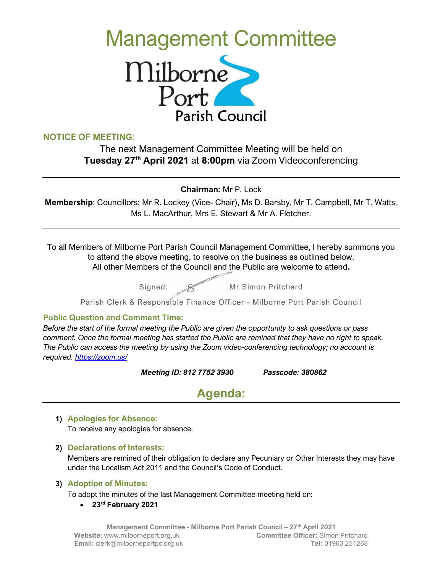# Management Committee



# NOTICE OF MEETING:

The next Management Committee Meeting will be held on Tuesday 27<sup>th</sup> April 2021 at 8:00pm via Zoom Videoconferencing

Chairman: Mr P. Lock

Membership: Councillors; Mr R. Lockey (Vice- Chair), Ms D. Barsby, Mr T. Campbell, Mr T. Watts, Ms L. MacArthur, Mrs E. Stewart & Mr A. Fletcher.

To all Members of Milborne Port Parish Council Management Committee, I hereby summons you to attend the above meeting, to resolve on the business as outlined below. All other Members of the Council and the Public are welcome to attend.

Signed:  $\mathscr{A}$  Mr Simon Pritchard

Parish Clerk & Responsible Finance Officer - Milborne Port Parish Council

# Public Question and Comment Time:

Before the start of the formal meeting the Public are given the opportunity to ask questions or pass comment. Once the formal meeting has started the Public are remined that they have no right to speak. The Public can access the meeting by using the Zoom video-conferencing technology; no account is required. https://zoom.us/

Meeting ID: 812 7752 3930 Passcode: 380862

# Agenda:

#### 1) Apologies for Absence:

To receive any apologies for absence.

2) Declarations of Interests:

Members are remined of their obligation to declare any Pecuniary or Other Interests they may have under the Localism Act 2011 and the Council's Code of Conduct.

#### 3) Adoption of Minutes:

To adopt the minutes of the last Management Committee meeting held on:

• 23<sup>rd</sup> February 2021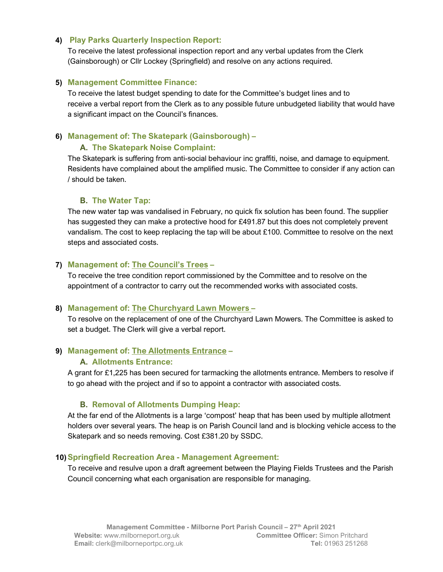#### 4) Play Parks Quarterly Inspection Report:

To receive the latest professional inspection report and any verbal updates from the Clerk (Gainsborough) or Cllr Lockey (Springfield) and resolve on any actions required.

#### 5) Management Committee Finance:

To receive the latest budget spending to date for the Committee's budget lines and to receive a verbal report from the Clerk as to any possible future unbudgeted liability that would have a significant impact on the Council's finances.

# 6) Management of: The Skatepark (Gainsborough) –

#### A. The Skatepark Noise Complaint:

The Skatepark is suffering from anti-social behaviour inc graffiti, noise, and damage to equipment. Residents have complained about the amplified music. The Committee to consider if any action can / should be taken.

#### B. The Water Tap:

The new water tap was vandalised in February, no quick fix solution has been found. The supplier has suggested they can make a protective hood for £491.87 but this does not completely prevent vandalism. The cost to keep replacing the tap will be about £100. Committee to resolve on the next steps and associated costs.

#### 7) Management of: The Council's Trees –

To receive the tree condition report commissioned by the Committee and to resolve on the appointment of a contractor to carry out the recommended works with associated costs.

#### 8) Management of: The Churchyard Lawn Mowers –

To resolve on the replacement of one of the Churchyard Lawn Mowers. The Committee is asked to set a budget. The Clerk will give a verbal report.

# 9) Management of: The Allotments Entrance –

#### A. Allotments Entrance:

A grant for £1,225 has been secured for tarmacking the allotments entrance. Members to resolve if to go ahead with the project and if so to appoint a contractor with associated costs.

# B. Removal of Allotments Dumping Heap:

At the far end of the Allotments is a large 'compost' heap that has been used by multiple allotment holders over several years. The heap is on Parish Council land and is blocking vehicle access to the Skatepark and so needs removing. Cost £381.20 by SSDC.

#### 10)Springfield Recreation Area - Management Agreement:

To receive and resulve upon a draft agreement between the Playing Fields Trustees and the Parish Council concerning what each organisation are responsible for managing.